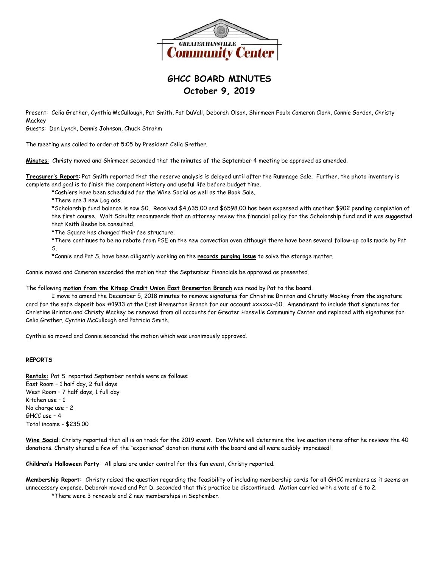

## **GHCC BOARD MINUTES October 9, 2019**

Present: Celia Grether, Cynthia McCullough, Pat Smith, Pat DuVall, Deborah Olson, Shirmeen Faulx Cameron Clark, Connie Gordon, Christy **Mackey** 

Guests: Don Lynch, Dennis Johnson, Chuck Strahm

The meeting was called to order at 5:05 by President Celia Grether.

**Minutes**: Christy moved and Shirmeen seconded that the minutes of the September 4 meeting be approved as amended.

**Treasurer's Report**: Pat Smith reported that the reserve analysis is delayed until after the Rummage Sale. Further, the photo inventory is complete and goal is to finish the component history and useful life before budget time.

\*Cashiers have been scheduled for the Wine Social as well as the Book Sale.

\*There are 3 new Log ads.

\*Scholarship fund balance is now \$0. Received \$4,635.00 and \$6598.00 has been expensed with another \$902 pending completion of the first course. Walt Schultz recommends that an attorney review the financial policy for the Scholarship fund and it was suggested that Keith Beebe be consulted.

\*The Square has changed their fee structure.

\*There continues to be no rebate from PSE on the new convection oven although there have been several follow-up calls made by Pat S.

\*Connie and Pat S. have been diligently working on the **records purging issue** to solve the storage matter.

Connie moved and Cameron seconded the motion that the September Financials be approved as presented.

The following **motion from the Kitsap Credit Union East Bremerton Branch** was read by Pat to the board.

I move to amend the December 5, 2018 minutes to remove signatures for Christine Brinton and Christy Mackey from the signature card for the safe deposit box #1933 at the East Bremerton Branch for our account xxxxxx-60. Amendment to include that signatures for Christine Brinton and Christy Mackey be removed from all accounts for Greater Hansville Community Center and replaced with signatures for Celia Grether, Cynthia McCullough and Patricia Smith.

Cynthia so moved and Connie seconded the motion which was unanimously approved.

## **REPORTS**

**Rentals:** Pat S. reported September rentals were as follows: East Room – 1 half day, 2 full days West Room – 7 half days, 1 full day Kitchen use – 1 No charge use – 2 GHCC use – 4 Total income - \$235.00

**Wine Social**: Christy reported that all is on track for the 2019 event. Don White will determine the live auction items after he reviews the 40 donations. Christy shared a few of the "experience" donation items with the board and all were audibly impressed!

**Children's Halloween Party**: All plans are under control for this fun event, Christy reported.

**Membership Report:** Christy raised the question regarding the feasibility of including membership cards for all GHCC members as it seems an unnecessary expense. Deborah moved and Pat D. seconded that this practice be discontinued. Motion carried with a vote of 6 to 2.

\*There were 3 renewals and 2 new memberships in September.